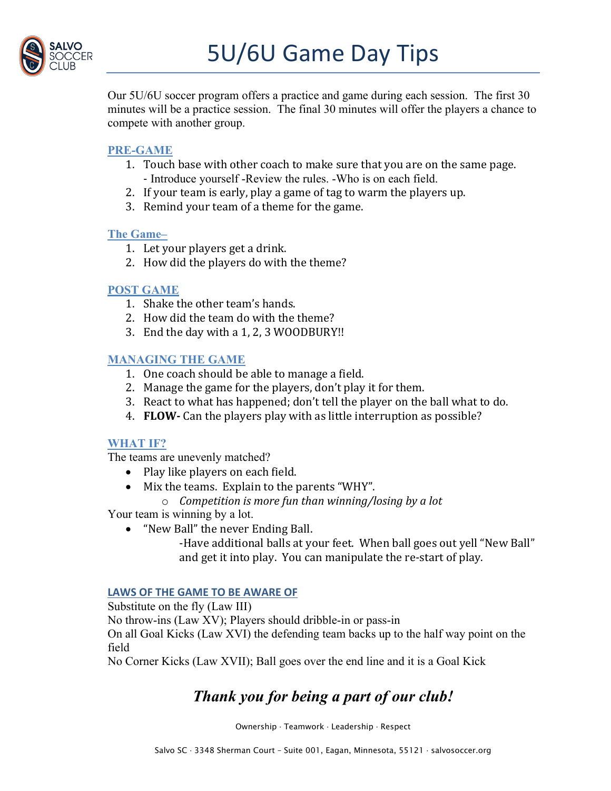

Our 5U/6U soccer program offers a practice and game during each session. The first 30 minutes will be a practice session. The final 30 minutes will offer the players a chance to compete with another group.

## **PRE-GAME**

- 1. Touch base with other coach to make sure that you are on the same page. - Introduce yourself -Review the rules. -Who is on each field.
- 2. If your team is early, play a game of tag to warm the players up.
- 3. Remind your team of a theme for the game.

## **The Game–**

- 1. Let your players get a drink.
- 2. How did the players do with the theme?

## **POST GAME**

- 1. Shake the other team's hands.
- 2. How did the team do with the theme?
- 3. End the day with a  $1, 2, 3$  WOODBURY!!

## **MANAGING THE GAME**

- 1. One coach should be able to manage a field.
- 2. Manage the game for the players, don't play it for them.
- 3. React to what has happened; don't tell the player on the ball what to do.
- 4. **FLOW** Can the players play with as little interruption as possible?

## **WHAT IF?**

The teams are unevenly matched?

- $\bullet$  Play like players on each field.
- Mix the teams. Explain to the parents "WHY".
	- o *Competition is more fun than winning/losing by a lot*

Your team is winning by a lot.

• "New Ball" the never Ending Ball.

-Have additional balls at your feet. When ball goes out yell "New Ball" and get it into play. You can manipulate the re-start of play.

## **LAWS OF THE GAME TO BE AWARE OF**

Substitute on the fly (Law III)

No throw-ins (Law XV); Players should dribble-in or pass-in

On all Goal Kicks (Law XVI) the defending team backs up to the half way point on the field

No Corner Kicks (Law XVII); Ball goes over the end line and it is a Goal Kick

# *Thank you for being a part of our club!*

Ownership · Teamwork · Leadership · Respect